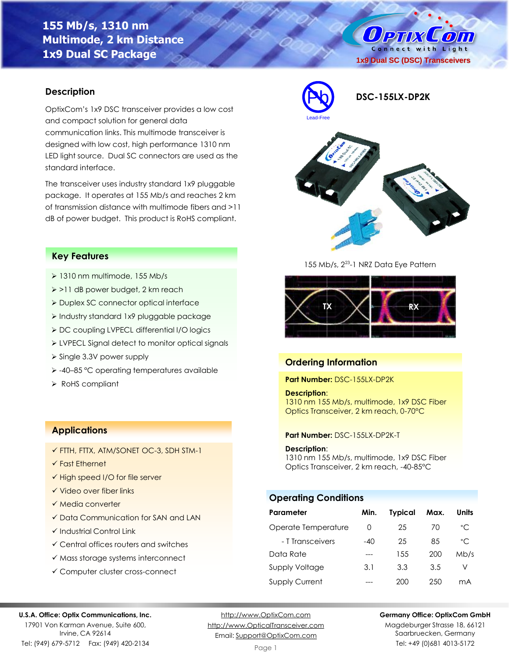# **155 Mb/s, 1310 nm Multimode, 2 km Distance 1x9 Dual SC Package**

O PTIX COLO Connect with Light **1x9 Dual SC (DSC) Transceivers**

### **Description**

OptixCom's 1x9 DSC transceiver provides a low cost and compact solution for general data communication links. This multimode transceiver is designed with low cost, high performance 1310 nm LED light source. Dual SC connectors are used as the standard interface.

The transceiver uses industry standard 1x9 pluggable package. It operates at 155 Mb/s and reaches 2 km of transmission distance with multimode fibers and >11 dB of power budget. This product is RoHS compliant.



- ➢ 1310 nm multimode, 155 Mb/s
- ➢ >11 dB power budget, 2 km reach
- ➢ Duplex SC connector optical interface
- ➢ Industry standard 1x9 pluggable package
- ➢ DC coupling LVPECL differential I/O logics
- ➢ LVPECL Signal detect to monitor optical signals
- ➢ Single 3.3V power supply
- ➢ -40–85 °C operating temperatures available
- ➢ RoHS compliant

### **Applications**

- ✓ FTTH, FTTX, ATM/SONET OC-3, SDH STM-1
- ✓ Fast Ethernet
- ✓ High speed I/O for file server
- ✓ Video over fiber links
- ✓ Media converter
- ✓ Data Communication for SAN and LAN
- ✓ Industrial Control Link
- ✓ Central offices routers and switches
- ✓ Mass storage systems interconnect
- ✓ Computer cluster cross-connect





155 Mb/s, 2<sup>23</sup>-1 NRZ Data Eye Pattern



# **Ordering Information**

**Part Number:** DSC-155LX-DP2K

### **Description**:

1310 nm 155 Mb/s, multimode, 1x9 DSC Fiber Optics Transceiver, 2 km reach, 0-70°C

#### **Part Number:** DSC-155LX-DP2K-T

#### **Description**:

1310 nm 155 Mb/s, multimode, 1x9 DSC Fiber Optics Transceiver, 2 km reach, -40-85°C

# **Operating Conditions**

| Parameter             | Min.     | <b>Typical</b> | Max. | Units        |
|-----------------------|----------|----------------|------|--------------|
| Operate Temperature   | $\left($ | 25             | 70   | $^{\circ}$ C |
| - T Transceivers      | $-40$    | 25             | 85   | $^{\circ}$ C |
| Data Rate             |          | 1.5.5          | 200  | Mb/s         |
| Supply Voltage        | 3.1      | 3.3            | 3.5  | V            |
| <b>Supply Current</b> |          | 200            | 250  | mА           |

#### **U.S.A. Office: Optix Communications, Inc.**

17901 Von Karman Avenue, Suite 600, Irvine, CA 92614 Tel: (949) 679-5712 Fax: (949) 420-2134

[http://www.OptixCom.com](http://www.optixcom.com/) [http://www.OpticalTransceiver.com](http://www.optoictech.com/) Email: [Support@OptixCom.com](mailto:Support@optoICtech.com)

#### **Germany Office: OptixCom GmbH**

Magdeburger Strasse 18, 66121 Saarbruecken, Germany Tel: +49 (0)681 4013-5172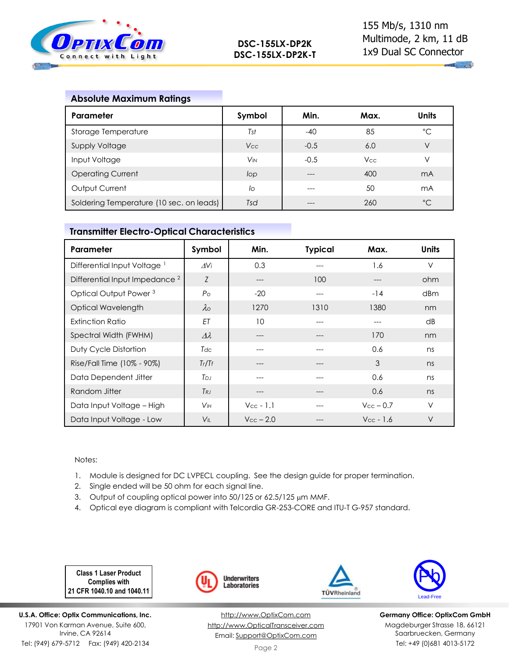

# **Absolute Maximum Ratings**

| Parameter                                | Symbol                | Min.   | Max.       | <b>Units</b>   |
|------------------------------------------|-----------------------|--------|------------|----------------|
| Storage Temperature                      | Tst                   | $-40$  | 85         | °C             |
| <b>Supply Voltage</b>                    | V <sub>cc</sub>       | $-0.5$ | 6.0        | V              |
| Input Voltage                            | <b>V<sub>IN</sub></b> | $-0.5$ | <b>Vcc</b> | V              |
| <b>Operating Current</b>                 | lop                   |        | 400        | m <sub>A</sub> |
| Output Current                           | lo                    | ---    | 50         | mA             |
| Soldering Temperature (10 sec. on leads) | Tsd                   |        | 260        | $^{\circ}C$    |

### **Transmitter Electro-Optical Characteristics**

| Parameter                                 | Symbol             | Min.                  | <b>Typical</b> | Max.               | <b>Units</b> |
|-------------------------------------------|--------------------|-----------------------|----------------|--------------------|--------------|
| Differential Input Voltage <sup>1</sup>   | AVi                | 0.3                   |                | 1.6                | $\vee$       |
| Differential Input Impedance <sup>2</sup> | Z                  | ---                   | 100            | ---                | ohm          |
| Optical Output Power <sup>3</sup>         | $P_{\rm O}$        | $-20$                 | $---$          | $-14$              | dBm          |
| Optical Wavelength                        | $\lambda$          | 1270                  | 1310           | 1380               | nm           |
| <b>Extinction Ratio</b>                   | ET                 | 10                    |                | ---                | dB           |
| Spectral Width (FWHM)                     | $\varDelta\lambda$ | ---                   |                | 170                | nm           |
| Duty Cycle Distortion                     | Tdc                | ---                   |                | 0.6                | ns           |
| Rise/Fall Time (10% - 90%)                | Tr/Tr              | ---                   | ---            | 3                  | ns           |
| Data Dependent Jitter                     | T <sub>DJ</sub>    | ---                   | ---            | 0.6                | ns           |
| Random Jitter                             | $T_{RJ}$           | ---                   |                | 0.6                | ns           |
| Data Input Voltage - High                 | V <sub>IH</sub>    | $V_{\text{cc}}$ - 1.1 |                | $V_{\rm CC}$ – 0.7 | $\vee$       |
| Data Input Voltage - Low                  | $V_{\parallel}$    | $V_{CC}$ – 2.0        |                | $V_{CC}$ - 1.6     | $\vee$       |

### Notes:

- 1. Module is designed for DC LVPECL coupling. See the design guide for proper termination.
- 2. Single ended will be 50 ohm for each signal line.
- 3. Output of coupling optical power into 50/125 or 62.5/125 µm MMF.
- 4. Optical eye diagram is compliant with Telcordia GR-253-CORE and ITU-T G-957 standard.

**Class 1 Laser Product Complies with 21 CFR 1040.10 and 1040.11**

**U.S.A. Office: Optix Communications, Inc.** 17901 Von Karman Avenue, Suite 600, Irvine, CA 92614 Tel: (949) 679-5712 Fax: (949) 420-2134



[http://www.OptixCom.com](http://www.optixcom.com/) [http://www.OpticalTransceiver.com](http://www.optoictech.com/) Email: [Support@OptixCom.com](mailto:Support@optoICtech.com)



TÜVRheinland

**Germany Office: OptixCom GmbH** Magdeburger Strasse 18, 66121 Saarbruecken, Germany Tel: +49 (0)681 4013-5172